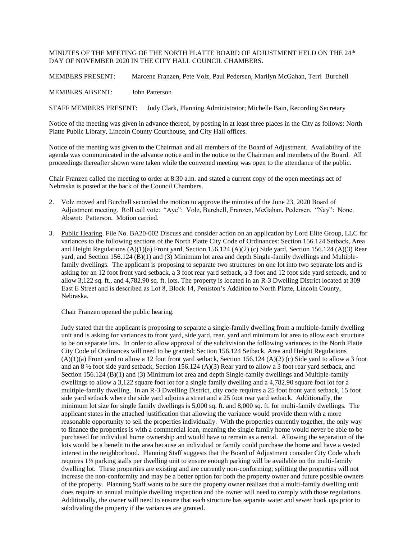## MINUTES OF THE MEETING OF THE NORTH PLATTE BOARD OF ADJUSTMENT HELD ON THE 24th  $\,$ DAY OF NOVEMBER 2020 IN THE CITY HALL COUNCIL CHAMBERS.

MEMBERS PRESENT: Marcene Franzen, Pete Volz, Paul Pedersen, Marilyn McGahan, Terri Burchell

MEMBERS ABSENT: John Patterson

STAFF MEMBERS PRESENT: Judy Clark, Planning Administrator; Michelle Bain, Recording Secretary

Notice of the meeting was given in advance thereof, by posting in at least three places in the City as follows: North Platte Public Library, Lincoln County Courthouse, and City Hall offices.

Notice of the meeting was given to the Chairman and all members of the Board of Adjustment. Availability of the agenda was communicated in the advance notice and in the notice to the Chairman and members of the Board. All proceedings thereafter shown were taken while the convened meeting was open to the attendance of the public.

Chair Franzen called the meeting to order at 8:30 a.m. and stated a current copy of the open meetings act of Nebraska is posted at the back of the Council Chambers.

- 2. Volz moved and Burchell seconded the motion to approve the minutes of the June 23, 2020 Board of Adjustment meeting. Roll call vote: "Aye": Volz, Burchell, Franzen, McGahan, Pedersen. "Nay": None. Absent: Patterson. Motion carried.
- 3. Public Hearing. File No. BA20-002 Discuss and consider action on an application by Lord Elite Group, LLC for variances to the following sections of the North Platte City Code of Ordinances: Section 156.124 Setback, Area and Height Regulations (A)(1)(a) Front yard, Section 156.124 (A)(2) (c) Side yard, Section 156.124 (A)(3) Rear yard, and Section 156.124 (B)(1) and (3) Minimum lot area and depth Single-family dwellings and Multiplefamily dwellings. The applicant is proposing to separate two structures on one lot into two separate lots and is asking for an 12 foot front yard setback, a 3 foot rear yard setback, a 3 foot and 12 foot side yard setback, and to allow 3,122 sq. ft., and 4,782.90 sq. ft. lots. The property is located in an R-3 Dwelling District located at 309 East E Street and is described as Lot 8, Block 14, Peniston's Addition to North Platte, Lincoln County, Nebraska.

Chair Franzen opened the public hearing.

Judy stated that the applicant is proposing to separate a single-family dwelling from a multiple-family dwelling unit and is asking for variances to front yard, side yard, rear, yard and minimum lot area to allow each structure to be on separate lots. In order to allow approval of the subdivision the following variances to the North Platte City Code of Ordinances will need to be granted; Section 156.124 Setback, Area and Height Regulations  $(A)(1)(a)$  Front yard to allow a 12 foot front yard setback, Section 156.124  $(A)(2)$  (c) Side yard to allow a 3 foot and an 8 ½ foot side yard setback, Section 156.124 (A)(3) Rear yard to allow a 3 foot rear yard setback, and Section 156.124 (B)(1) and (3) Minimum lot area and depth Single-family dwellings and Multiple-family dwellings to allow a 3,122 square foot lot for a single family dwelling and a 4,782.90 square foot lot for a multiple-family dwelling. In an R-3 Dwelling District, city code requires a 25 foot front yard setback, 15 foot side yard setback where the side yard adjoins a street and a 25 foot rear yard setback. Additionally, the minimum lot size for single family dwellings is 5,000 sq. ft. and 8,000 sq. ft. for multi-family dwellings. The applicant states in the attached justification that allowing the variance would provide them with a more reasonable opportunity to sell the properties individually. With the properties currently together, the only way to finance the properties is with a commercial loan, meaning the single family home would never be able to be purchased for individual home ownership and would have to remain as a rental. Allowing the separation of the lots would be a benefit to the area because an individual or family could purchase the home and have a vested interest in the neighborhood. Planning Staff suggests that the Board of Adjustment consider City Code which requires 1½ parking stalls per dwelling unit to ensure enough parking will be available on the multi-family dwelling lot. These properties are existing and are currently non-conforming; splitting the properties will not increase the non-conformity and may be a better option for both the property owner and future possible owners of the property. Planning Staff wants to be sure the property owner realizes that a multi-family dwelling unit does require an annual multiple dwelling inspection and the owner will need to comply with those regulations. Additionally, the owner will need to ensure that each structure has separate water and sewer hook ups prior to subdividing the property if the variances are granted.